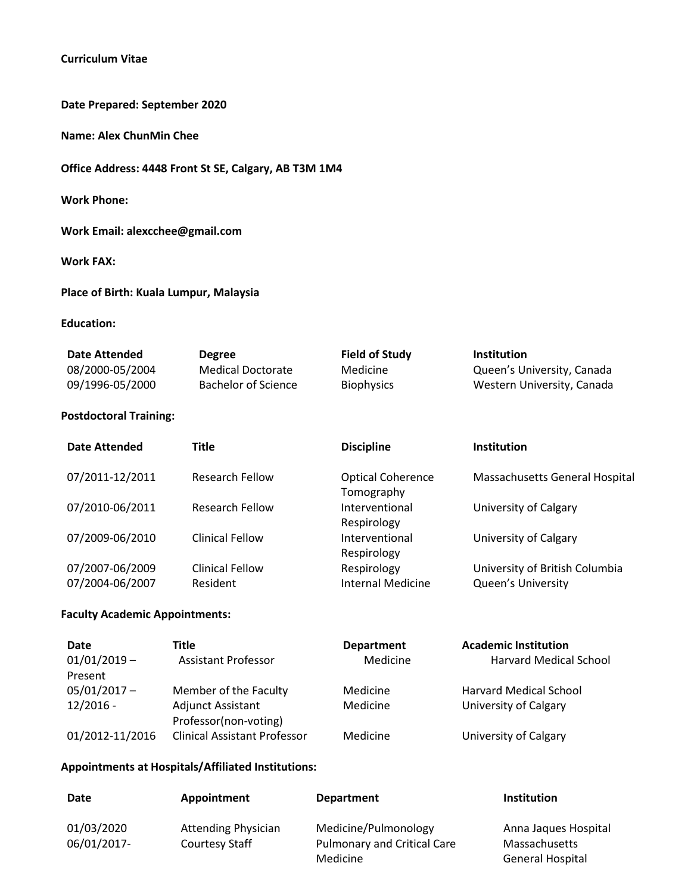## **Curriculum Vitae**

**Date Prepared: September 2020**

**Name: Alex ChunMin Chee**

**Office Address: 4448 Front St SE, Calgary, AB T3M 1M4**

**Work Phone:** 

**Work Email: alexcchee@gmail.com**

**Work FAX:**

**Place of Birth: Kuala Lumpur, Malaysia**

### **Education:**

| <b>Date Attended</b> | <b>Degree</b>       | <b>Field of Study</b> | <b>Institution</b>         |
|----------------------|---------------------|-----------------------|----------------------------|
| 08/2000-05/2004      | Medical Doctorate   | Medicine              | Queen's University, Canada |
| 09/1996-05/2000      | Bachelor of Science | <b>Biophysics</b>     | Western University, Canada |

### **Postdoctoral Training:**

| <b>Date Attended</b>               | <b>Title</b>                       | <b>Discipline</b>                       | <b>Institution</b>                                   |
|------------------------------------|------------------------------------|-----------------------------------------|------------------------------------------------------|
| 07/2011-12/2011                    | <b>Research Fellow</b>             | <b>Optical Coherence</b><br>Tomography  | Massachusetts General Hospital                       |
| 07/2010-06/2011                    | <b>Research Fellow</b>             | Interventional<br>Respirology           | University of Calgary                                |
| 07/2009-06/2010                    | <b>Clinical Fellow</b>             | Interventional<br>Respirology           | University of Calgary                                |
| 07/2007-06/2009<br>07/2004-06/2007 | <b>Clinical Fellow</b><br>Resident | Respirology<br><b>Internal Medicine</b> | University of British Columbia<br>Queen's University |

#### **Faculty Academic Appointments:**

| Date<br>$01/01/2019 -$ | Title<br><b>Assistant Professor</b>        | <b>Department</b><br>Medicine | <b>Academic Institution</b><br>Harvard Medical School |
|------------------------|--------------------------------------------|-------------------------------|-------------------------------------------------------|
| Present                |                                            |                               |                                                       |
| $05/01/2017 -$         | Member of the Faculty                      | Medicine                      | <b>Harvard Medical School</b>                         |
| $12/2016 -$            | Adjunct Assistant<br>Professor(non-voting) | Medicine                      | University of Calgary                                 |
| 01/2012-11/2016        | <b>Clinical Assistant Professor</b>        | Medicine                      | University of Calgary                                 |

#### **Appointments at Hospitals/Affiliated Institutions:**

| Date        | Appointment                | <b>Department</b>                              | <b>Institution</b>                       |
|-------------|----------------------------|------------------------------------------------|------------------------------------------|
| 01/03/2020  | <b>Attending Physician</b> | Medicine/Pulmonology                           | Anna Jaques Hospital                     |
| 06/01/2017- | Courtesy Staff             | <b>Pulmonary and Critical Care</b><br>Medicine | <b>Massachusetts</b><br>General Hospital |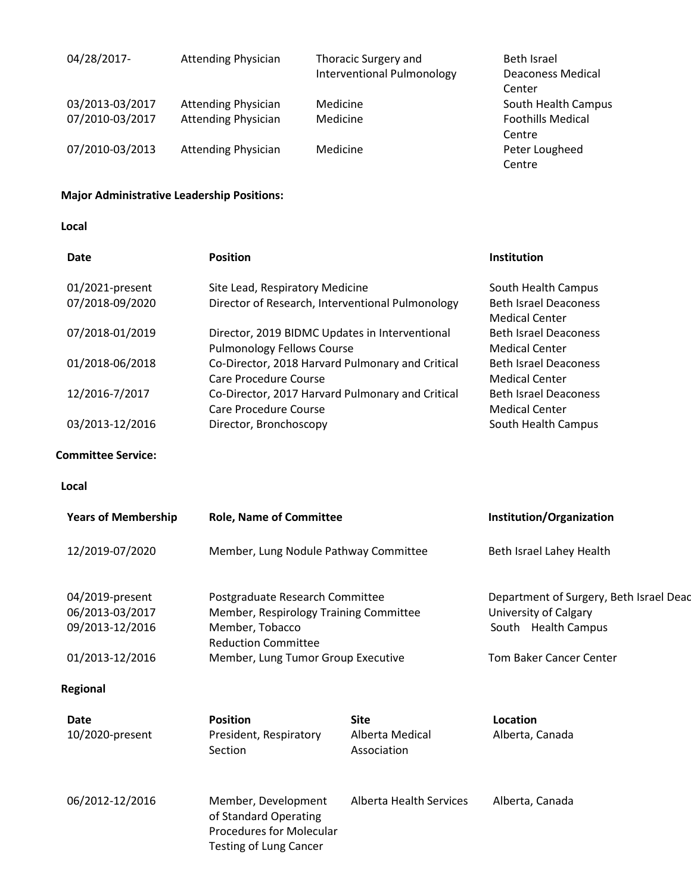| 04/28/2017-     | <b>Attending Physician</b> | Thoracic Surgery and       | Beth Israel              |
|-----------------|----------------------------|----------------------------|--------------------------|
|                 |                            | Interventional Pulmonology | <b>Deaconess Medical</b> |
|                 |                            |                            | Center                   |
| 03/2013-03/2017 | <b>Attending Physician</b> | Medicine                   | South Health Campus      |
| 07/2010-03/2017 | <b>Attending Physician</b> | Medicine                   | <b>Foothills Medical</b> |
|                 |                            |                            | Centre                   |
| 07/2010-03/2013 | <b>Attending Physician</b> | Medicine                   | Peter Lougheed           |
|                 |                            |                            | Centre                   |

## **Major Administrative Leadership Positions:**

**Local**

| Date            | <b>Position</b>                                  | Institution                  |
|-----------------|--------------------------------------------------|------------------------------|
| 01/2021-present | Site Lead, Respiratory Medicine                  | South Health Campus          |
| 07/2018-09/2020 | Director of Research, Interventional Pulmonology | <b>Beth Israel Deaconess</b> |
|                 |                                                  | <b>Medical Center</b>        |
| 07/2018-01/2019 | Director, 2019 BIDMC Updates in Interventional   | <b>Beth Israel Deaconess</b> |
|                 | <b>Pulmonology Fellows Course</b>                | <b>Medical Center</b>        |
| 01/2018-06/2018 | Co-Director, 2018 Harvard Pulmonary and Critical | <b>Beth Israel Deaconess</b> |
|                 | Care Procedure Course                            | <b>Medical Center</b>        |
| 12/2016-7/2017  | Co-Director, 2017 Harvard Pulmonary and Critical | <b>Beth Israel Deaconess</b> |
|                 | Care Procedure Course                            | <b>Medical Center</b>        |
| 03/2013-12/2016 | Director, Bronchoscopy                           | South Health Campus          |

### **Committee Service:**

#### **Local**

| <b>Years of Membership</b>                                               | <b>Role, Name of Committee</b>                                                                                                                                   |                                               | Institution/Organization                                                                                           |
|--------------------------------------------------------------------------|------------------------------------------------------------------------------------------------------------------------------------------------------------------|-----------------------------------------------|--------------------------------------------------------------------------------------------------------------------|
| 12/2019-07/2020                                                          | Member, Lung Nodule Pathway Committee                                                                                                                            |                                               | Beth Israel Lahey Health                                                                                           |
| 04/2019-present<br>06/2013-03/2017<br>09/2013-12/2016<br>01/2013-12/2016 | Postgraduate Research Committee<br>Member, Respirology Training Committee<br>Member, Tobacco<br><b>Reduction Committee</b><br>Member, Lung Tumor Group Executive |                                               | Department of Surgery, Beth Israel Deac<br>University of Calgary<br>South Health Campus<br>Tom Baker Cancer Center |
| Regional                                                                 |                                                                                                                                                                  |                                               |                                                                                                                    |
| Date<br>10/2020-present                                                  | <b>Position</b><br>President, Respiratory<br>Section                                                                                                             | <b>Site</b><br>Alberta Medical<br>Association | Location<br>Alberta, Canada                                                                                        |
| 06/2012-12/2016                                                          | Member, Development<br>of Standard Operating<br><b>Procedures for Molecular</b><br><b>Testing of Lung Cancer</b>                                                 | Alberta Health Services                       | Alberta, Canada                                                                                                    |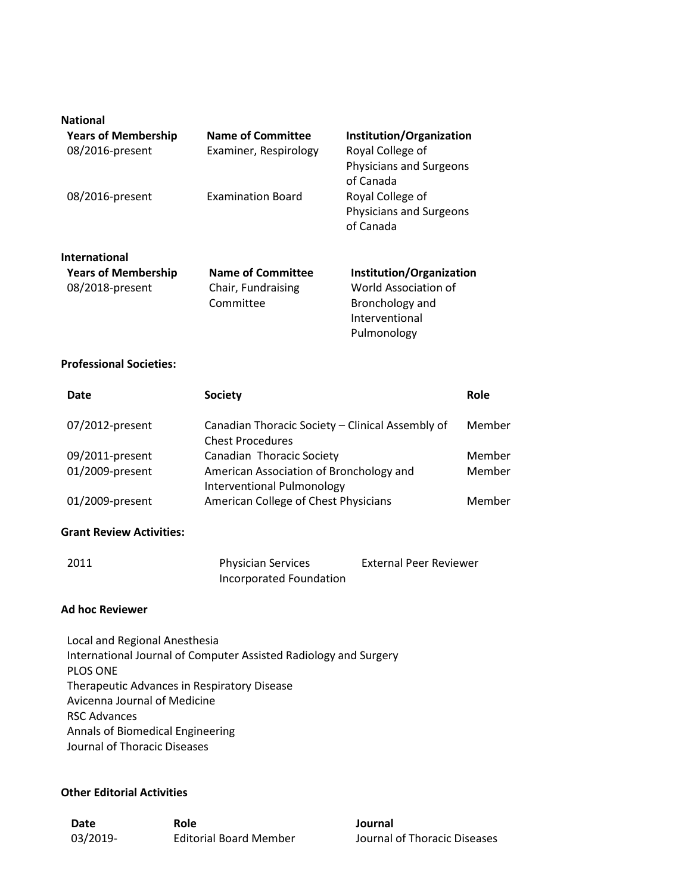| <b>National</b><br><b>Years of Membership</b><br>08/2016-present      | <b>Name of Committee</b><br>Examiner, Respirology           | Institution/Organization<br>Royal College of<br>Physicians and Surgeons<br>of Canada                 |
|-----------------------------------------------------------------------|-------------------------------------------------------------|------------------------------------------------------------------------------------------------------|
| 08/2016-present                                                       | <b>Examination Board</b>                                    | Royal College of<br><b>Physicians and Surgeons</b><br>of Canada                                      |
| <b>International</b><br><b>Years of Membership</b><br>08/2018-present | <b>Name of Committee</b><br>Chair, Fundraising<br>Committee | Institution/Organization<br>World Association of<br>Bronchology and<br>Interventional<br>Pulmonology |

#### **Professional Societies:**

| Date            | <b>Society</b>                                                               | Role   |
|-----------------|------------------------------------------------------------------------------|--------|
| 07/2012-present | Canadian Thoracic Society - Clinical Assembly of<br><b>Chest Procedures</b>  | Member |
| 09/2011-present | Canadian Thoracic Society                                                    | Member |
| 01/2009-present | American Association of Bronchology and<br><b>Interventional Pulmonology</b> | Member |
| 01/2009-present | American College of Chest Physicians                                         | Member |

#### **Grant Review Activities:**

| 2011 | <b>Physician Services</b> | <b>External Peer Reviewer</b> |
|------|---------------------------|-------------------------------|
|      | Incorporated Foundation   |                               |

### **Ad hoc Reviewer**

Local and Regional Anesthesia International Journal of Computer Assisted Radiology and Surgery PLOS ONE Therapeutic Advances in Respiratory Disease Avicenna Journal of Medicine RSC Advances Annals of Biomedical Engineering Journal of Thoracic Diseases

### **Other Editorial Activities**

| Date     | Role                          | Journal |
|----------|-------------------------------|---------|
| 03/2019- | <b>Editorial Board Member</b> | Journal |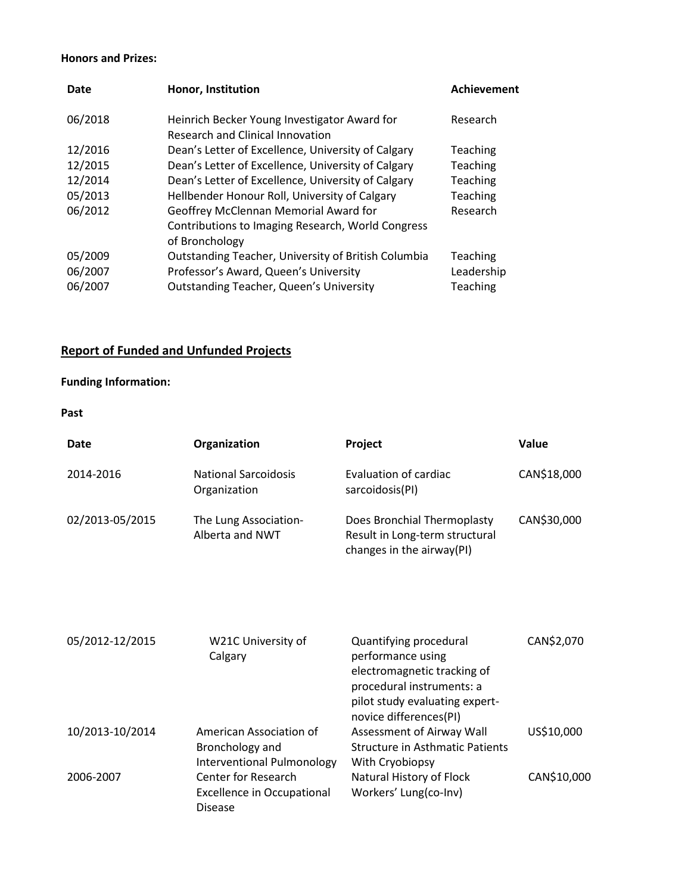### **Honors and Prizes:**

| Date    | Honor, Institution                                  | Achievement |
|---------|-----------------------------------------------------|-------------|
| 06/2018 | Heinrich Becker Young Investigator Award for        | Research    |
|         | <b>Research and Clinical Innovation</b>             |             |
| 12/2016 | Dean's Letter of Excellence, University of Calgary  | Teaching    |
| 12/2015 | Dean's Letter of Excellence, University of Calgary  | Teaching    |
| 12/2014 | Dean's Letter of Excellence, University of Calgary  | Teaching    |
| 05/2013 | Hellbender Honour Roll, University of Calgary       | Teaching    |
| 06/2012 | Geoffrey McClennan Memorial Award for               | Research    |
|         | Contributions to Imaging Research, World Congress   |             |
|         | of Bronchology                                      |             |
| 05/2009 | Outstanding Teacher, University of British Columbia | Teaching    |
| 06/2007 | Professor's Award, Queen's University               | Leadership  |
| 06/2007 | <b>Outstanding Teacher, Queen's University</b>      | Teaching    |

# **Report of Funded and Unfunded Projects**

## **Funding Information:**

**Past**

| Date            | Organization                                | <b>Project</b>                                                                             | <b>Value</b> |
|-----------------|---------------------------------------------|--------------------------------------------------------------------------------------------|--------------|
| 2014-2016       | <b>National Sarcoidosis</b><br>Organization | Evaluation of cardiac<br>sarcoidosis(PI)                                                   | CAN\$18,000  |
| 02/2013-05/2015 | The Lung Association-<br>Alberta and NWT    | Does Bronchial Thermoplasty<br>Result in Long-term structural<br>changes in the airway(PI) | CAN\$30,000  |

| 05/2012-12/2015 | W21C University of<br>Calgary                                              | Quantifying procedural<br>performance using<br>electromagnetic tracking of<br>procedural instruments: a<br>pilot study evaluating expert-<br>novice differences(PI) | CAN\$2,070  |
|-----------------|----------------------------------------------------------------------------|---------------------------------------------------------------------------------------------------------------------------------------------------------------------|-------------|
| 10/2013-10/2014 | American Association of<br>Bronchology and<br>Interventional Pulmonology   | Assessment of Airway Wall<br><b>Structure in Asthmatic Patients</b><br>With Cryobiopsy                                                                              | US\$10,000  |
| 2006-2007       | Center for Research<br><b>Excellence in Occupational</b><br><b>Disease</b> | Natural History of Flock<br>Workers' Lung(co-Inv)                                                                                                                   | CAN\$10,000 |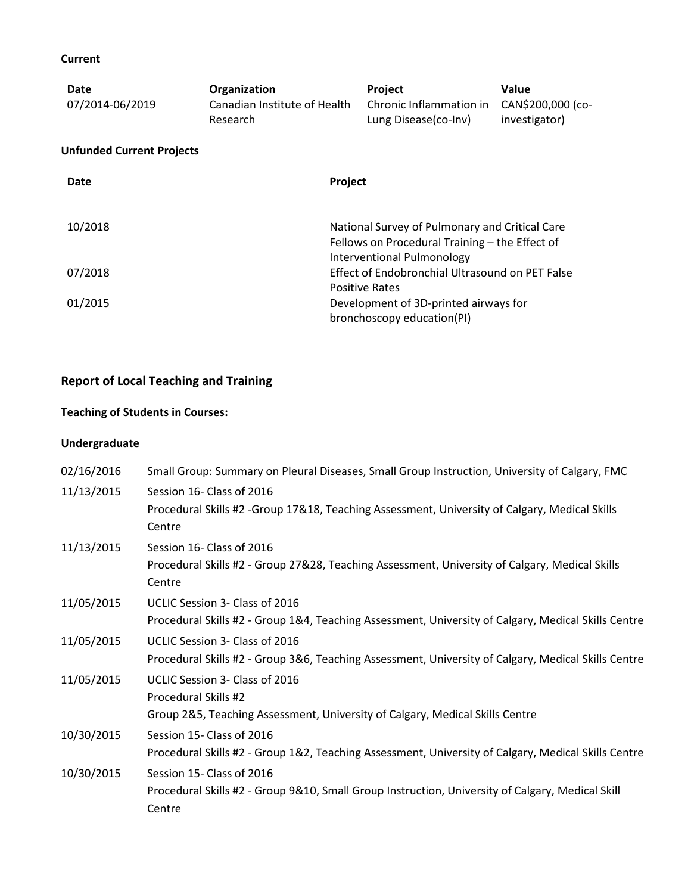## **Current**

| Date<br>07/2014-06/2019          | Organization<br>Canadian Institute of Health<br>Research | Project<br>Chronic Inflammation in<br>Lung Disease(co-Inv)                                                                     | Value<br>CAN\$200,000 (co-<br>investigator) |
|----------------------------------|----------------------------------------------------------|--------------------------------------------------------------------------------------------------------------------------------|---------------------------------------------|
| <b>Unfunded Current Projects</b> |                                                          |                                                                                                                                |                                             |
| Date                             |                                                          | Project                                                                                                                        |                                             |
| 10/2018                          |                                                          | National Survey of Pulmonary and Critical Care<br>Fellows on Procedural Training - the Effect of<br>Interventional Pulmonology |                                             |
| 07/2018                          |                                                          | Effect of Endobronchial Ultrasound on PET False                                                                                |                                             |
| 01/2015                          |                                                          | <b>Positive Rates</b><br>Development of 3D-printed airways for<br>bronchoscopy education(PI)                                   |                                             |

## **Report of Local Teaching and Training**

## **Teaching of Students in Courses:**

## **Undergraduate**

| Small Group: Summary on Pleural Diseases, Small Group Instruction, University of Calgary, FMC       |
|-----------------------------------------------------------------------------------------------------|
| Session 16- Class of 2016                                                                           |
| Procedural Skills #2 -Group 17&18, Teaching Assessment, University of Calgary, Medical Skills       |
| Centre                                                                                              |
| Session 16- Class of 2016                                                                           |
| Procedural Skills #2 - Group 27&28, Teaching Assessment, University of Calgary, Medical Skills      |
| Centre                                                                                              |
| UCLIC Session 3- Class of 2016                                                                      |
| Procedural Skills #2 - Group 1&4, Teaching Assessment, University of Calgary, Medical Skills Centre |
| UCLIC Session 3- Class of 2016                                                                      |
| Procedural Skills #2 - Group 3&6, Teaching Assessment, University of Calgary, Medical Skills Centre |
| UCLIC Session 3- Class of 2016                                                                      |
| Procedural Skills #2                                                                                |
| Group 2&5, Teaching Assessment, University of Calgary, Medical Skills Centre                        |
| Session 15- Class of 2016                                                                           |
| Procedural Skills #2 - Group 1&2, Teaching Assessment, University of Calgary, Medical Skills Centre |
| Session 15- Class of 2016                                                                           |
| Procedural Skills #2 - Group 9&10, Small Group Instruction, University of Calgary, Medical Skill    |
| Centre                                                                                              |
|                                                                                                     |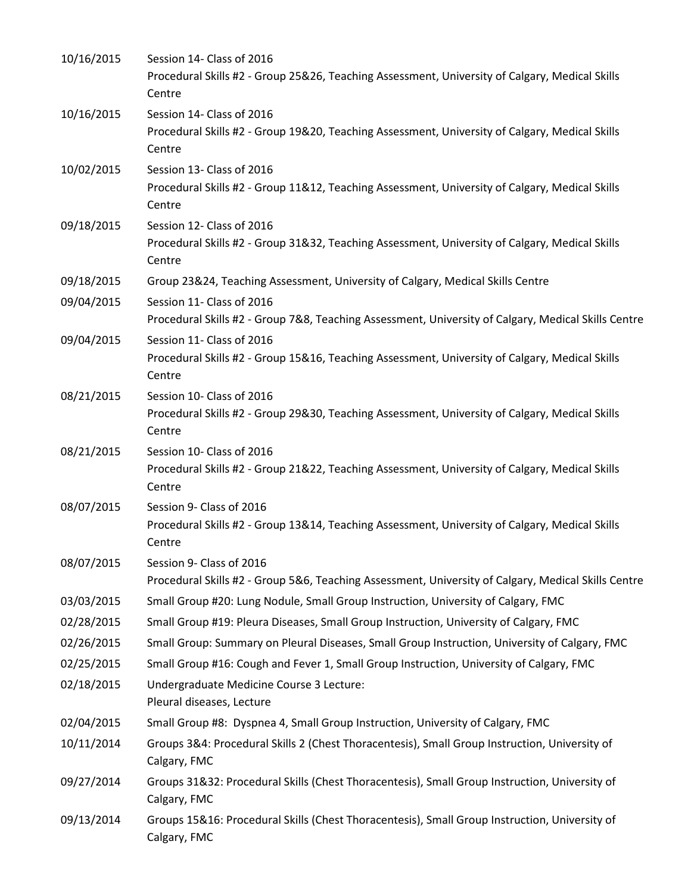| 10/16/2015 | Session 14- Class of 2016<br>Procedural Skills #2 - Group 25&26, Teaching Assessment, University of Calgary, Medical Skills<br>Centre |
|------------|---------------------------------------------------------------------------------------------------------------------------------------|
| 10/16/2015 | Session 14- Class of 2016<br>Procedural Skills #2 - Group 19&20, Teaching Assessment, University of Calgary, Medical Skills<br>Centre |
| 10/02/2015 | Session 13- Class of 2016<br>Procedural Skills #2 - Group 11&12, Teaching Assessment, University of Calgary, Medical Skills<br>Centre |
| 09/18/2015 | Session 12- Class of 2016<br>Procedural Skills #2 - Group 31&32, Teaching Assessment, University of Calgary, Medical Skills<br>Centre |
| 09/18/2015 | Group 23&24, Teaching Assessment, University of Calgary, Medical Skills Centre                                                        |
| 09/04/2015 | Session 11- Class of 2016<br>Procedural Skills #2 - Group 7&8, Teaching Assessment, University of Calgary, Medical Skills Centre      |
| 09/04/2015 | Session 11- Class of 2016<br>Procedural Skills #2 - Group 15&16, Teaching Assessment, University of Calgary, Medical Skills<br>Centre |
| 08/21/2015 | Session 10- Class of 2016<br>Procedural Skills #2 - Group 29&30, Teaching Assessment, University of Calgary, Medical Skills<br>Centre |
| 08/21/2015 | Session 10- Class of 2016<br>Procedural Skills #2 - Group 21&22, Teaching Assessment, University of Calgary, Medical Skills<br>Centre |
| 08/07/2015 | Session 9- Class of 2016<br>Procedural Skills #2 - Group 13&14, Teaching Assessment, University of Calgary, Medical Skills<br>Centre  |
| 08/07/2015 | Session 9- Class of 2016                                                                                                              |
|            | Procedural Skills #2 - Group 5&6, Teaching Assessment, University of Calgary, Medical Skills Centre                                   |
| 03/03/2015 | Small Group #20: Lung Nodule, Small Group Instruction, University of Calgary, FMC                                                     |
| 02/28/2015 | Small Group #19: Pleura Diseases, Small Group Instruction, University of Calgary, FMC                                                 |
| 02/26/2015 | Small Group: Summary on Pleural Diseases, Small Group Instruction, University of Calgary, FMC                                         |
| 02/25/2015 | Small Group #16: Cough and Fever 1, Small Group Instruction, University of Calgary, FMC                                               |
| 02/18/2015 | Undergraduate Medicine Course 3 Lecture:<br>Pleural diseases, Lecture                                                                 |
| 02/04/2015 | Small Group #8: Dyspnea 4, Small Group Instruction, University of Calgary, FMC                                                        |
| 10/11/2014 | Groups 3&4: Procedural Skills 2 (Chest Thoracentesis), Small Group Instruction, University of<br>Calgary, FMC                         |
| 09/27/2014 | Groups 31&32: Procedural Skills (Chest Thoracentesis), Small Group Instruction, University of<br>Calgary, FMC                         |
| 09/13/2014 | Groups 15&16: Procedural Skills (Chest Thoracentesis), Small Group Instruction, University of<br>Calgary, FMC                         |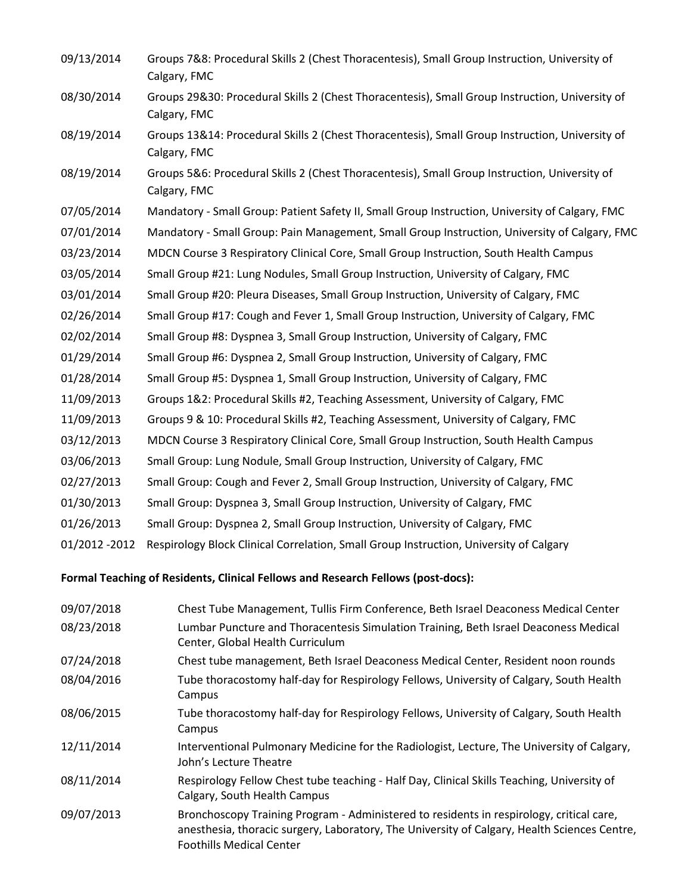09/13/2014 Groups 7&8: Procedural Skills 2 (Chest Thoracentesis), Small Group Instruction, University of Calgary, FMC 08/30/2014 Groups 29&30: Procedural Skills 2 (Chest Thoracentesis), Small Group Instruction, University of Calgary, FMC 08/19/2014 Groups 13&14: Procedural Skills 2 (Chest Thoracentesis), Small Group Instruction, University of Calgary, FMC 08/19/2014 Groups 5&6: Procedural Skills 2 (Chest Thoracentesis), Small Group Instruction, University of Calgary, FMC 07/05/2014 Mandatory - Small Group: Patient Safety II, Small Group Instruction, University of Calgary, FMC 07/01/2014 Mandatory - Small Group: Pain Management, Small Group Instruction, University of Calgary, FMC 03/23/2014 MDCN Course 3 Respiratory Clinical Core, Small Group Instruction, South Health Campus 03/05/2014 Small Group #21: Lung Nodules, Small Group Instruction, University of Calgary, FMC 03/01/2014 Small Group #20: Pleura Diseases, Small Group Instruction, University of Calgary, FMC 02/26/2014 Small Group #17: Cough and Fever 1, Small Group Instruction, University of Calgary, FMC 02/02/2014 Small Group #8: Dyspnea 3, Small Group Instruction, University of Calgary, FMC 01/29/2014 Small Group #6: Dyspnea 2, Small Group Instruction, University of Calgary, FMC 01/28/2014 Small Group #5: Dyspnea 1, Small Group Instruction, University of Calgary, FMC 11/09/2013 Groups 1&2: Procedural Skills #2, Teaching Assessment, University of Calgary, FMC 11/09/2013 Groups 9 & 10: Procedural Skills #2, Teaching Assessment, University of Calgary, FMC 03/12/2013 MDCN Course 3 Respiratory Clinical Core, Small Group Instruction, South Health Campus 03/06/2013 Small Group: Lung Nodule, Small Group Instruction, University of Calgary, FMC 02/27/2013 Small Group: Cough and Fever 2, Small Group Instruction, University of Calgary, FMC 01/30/2013 Small Group: Dyspnea 3, Small Group Instruction, University of Calgary, FMC 01/26/2013 Small Group: Dyspnea 2, Small Group Instruction, University of Calgary, FMC 01/2012 -2012 Respirology Block Clinical Correlation, Small Group Instruction, University of Calgary

**Formal Teaching of Residents, Clinical Fellows and Research Fellows (post-docs):**

| 09/07/2018 | Chest Tube Management, Tullis Firm Conference, Beth Israel Deaconess Medical Center                                                                                                                                         |
|------------|-----------------------------------------------------------------------------------------------------------------------------------------------------------------------------------------------------------------------------|
| 08/23/2018 | Lumbar Puncture and Thoracentesis Simulation Training, Beth Israel Deaconess Medical<br>Center, Global Health Curriculum                                                                                                    |
| 07/24/2018 | Chest tube management, Beth Israel Deaconess Medical Center, Resident noon rounds                                                                                                                                           |
| 08/04/2016 | Tube thoracostomy half-day for Respirology Fellows, University of Calgary, South Health<br>Campus                                                                                                                           |
| 08/06/2015 | Tube thoracostomy half-day for Respirology Fellows, University of Calgary, South Health<br>Campus                                                                                                                           |
| 12/11/2014 | Interventional Pulmonary Medicine for the Radiologist, Lecture, The University of Calgary,<br>John's Lecture Theatre                                                                                                        |
| 08/11/2014 | Respirology Fellow Chest tube teaching - Half Day, Clinical Skills Teaching, University of<br>Calgary, South Health Campus                                                                                                  |
| 09/07/2013 | Bronchoscopy Training Program - Administered to residents in respirology, critical care,<br>anesthesia, thoracic surgery, Laboratory, The University of Calgary, Health Sciences Centre,<br><b>Foothills Medical Center</b> |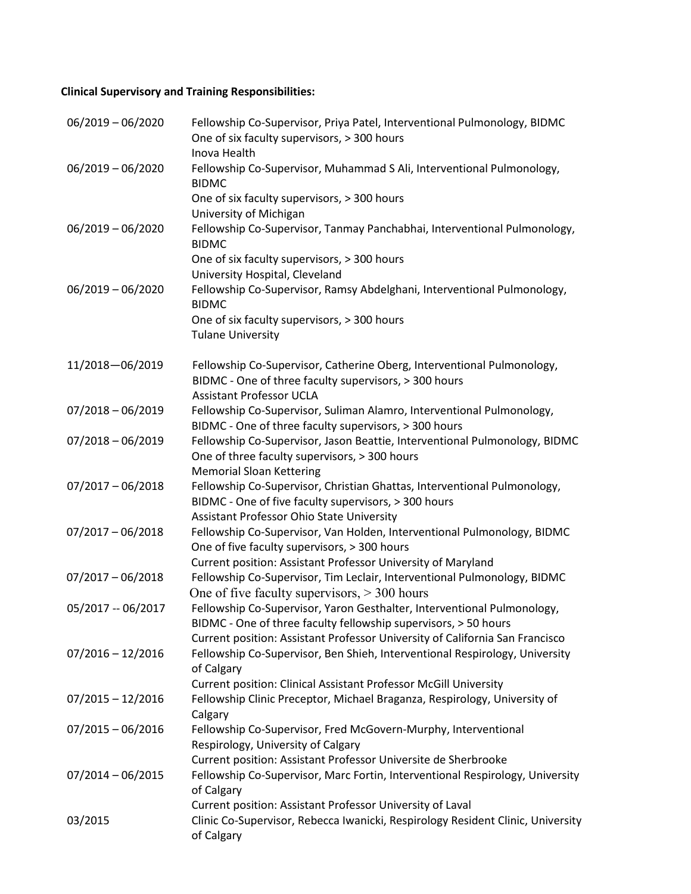## **Clinical Supervisory and Training Responsibilities:**

| $06/2019 - 06/2020$ | Fellowship Co-Supervisor, Priya Patel, Interventional Pulmonology, BIDMC<br>One of six faculty supervisors, > 300 hours<br>Inova Health                                                 |
|---------------------|-----------------------------------------------------------------------------------------------------------------------------------------------------------------------------------------|
| $06/2019 - 06/2020$ | Fellowship Co-Supervisor, Muhammad S Ali, Interventional Pulmonology,<br><b>BIDMC</b>                                                                                                   |
|                     | One of six faculty supervisors, > 300 hours<br>University of Michigan                                                                                                                   |
| $06/2019 - 06/2020$ | Fellowship Co-Supervisor, Tanmay Panchabhai, Interventional Pulmonology,<br><b>BIDMC</b>                                                                                                |
|                     | One of six faculty supervisors, > 300 hours<br>University Hospital, Cleveland                                                                                                           |
| $06/2019 - 06/2020$ | Fellowship Co-Supervisor, Ramsy Abdelghani, Interventional Pulmonology,<br><b>BIDMC</b>                                                                                                 |
|                     | One of six faculty supervisors, > 300 hours<br><b>Tulane University</b>                                                                                                                 |
| 11/2018-06/2019     | Fellowship Co-Supervisor, Catherine Oberg, Interventional Pulmonology,<br>BIDMC - One of three faculty supervisors, > 300 hours<br><b>Assistant Professor UCLA</b>                      |
| $07/2018 - 06/2019$ | Fellowship Co-Supervisor, Suliman Alamro, Interventional Pulmonology,<br>BIDMC - One of three faculty supervisors, > 300 hours                                                          |
| $07/2018 - 06/2019$ | Fellowship Co-Supervisor, Jason Beattie, Interventional Pulmonology, BIDMC<br>One of three faculty supervisors, > 300 hours<br><b>Memorial Sloan Kettering</b>                          |
| $07/2017 - 06/2018$ | Fellowship Co-Supervisor, Christian Ghattas, Interventional Pulmonology,<br>BIDMC - One of five faculty supervisors, > 300 hours<br>Assistant Professor Ohio State University           |
| $07/2017 - 06/2018$ | Fellowship Co-Supervisor, Van Holden, Interventional Pulmonology, BIDMC<br>One of five faculty supervisors, > 300 hours<br>Current position: Assistant Professor University of Maryland |
| $07/2017 - 06/2018$ | Fellowship Co-Supervisor, Tim Leclair, Interventional Pulmonology, BIDMC<br>One of five faculty supervisors, $>$ 300 hours                                                              |
| 05/2017 -- 06/2017  | Fellowship Co-Supervisor, Yaron Gesthalter, Interventional Pulmonology,<br>BIDMC - One of three faculty fellowship supervisors, > 50 hours                                              |
| $07/2016 - 12/2016$ | Current position: Assistant Professor University of California San Francisco<br>Fellowship Co-Supervisor, Ben Shieh, Interventional Respirology, University<br>of Calgary               |
| $07/2015 - 12/2016$ | <b>Current position: Clinical Assistant Professor McGill University</b><br>Fellowship Clinic Preceptor, Michael Braganza, Respirology, University of<br>Calgary                         |
| $07/2015 - 06/2016$ | Fellowship Co-Supervisor, Fred McGovern-Murphy, Interventional<br>Respirology, University of Calgary                                                                                    |
| $07/2014 - 06/2015$ | Current position: Assistant Professor Universite de Sherbrooke<br>Fellowship Co-Supervisor, Marc Fortin, Interventional Respirology, University<br>of Calgary                           |
| 03/2015             | Current position: Assistant Professor University of Laval<br>Clinic Co-Supervisor, Rebecca Iwanicki, Respirology Resident Clinic, University<br>of Calgary                              |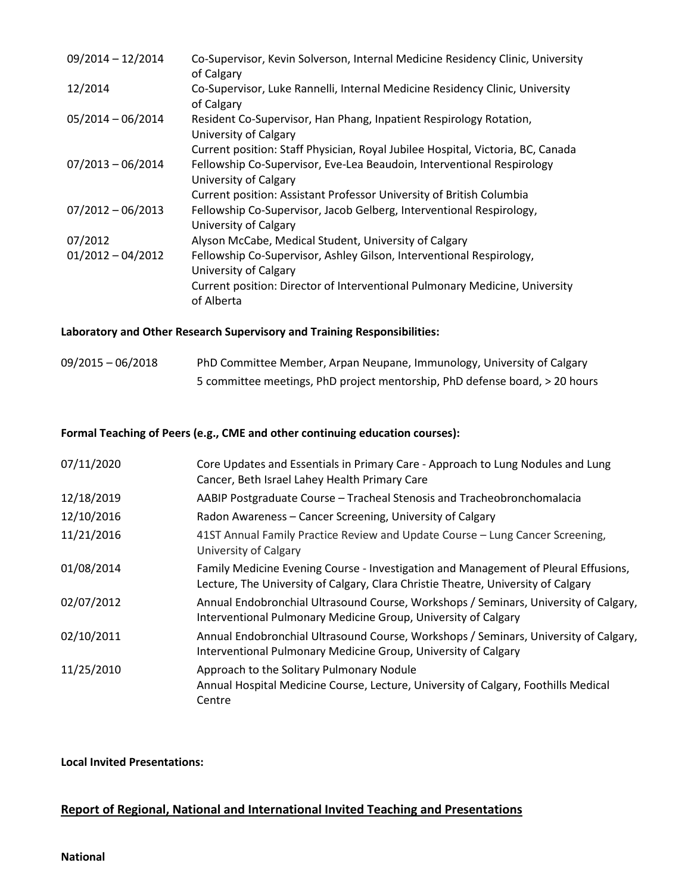| $09/2014 - 12/2014$ | Co-Supervisor, Kevin Solverson, Internal Medicine Residency Clinic, University<br>of Calgary    |
|---------------------|-------------------------------------------------------------------------------------------------|
| 12/2014             | Co-Supervisor, Luke Rannelli, Internal Medicine Residency Clinic, University<br>of Calgary      |
| $05/2014 - 06/2014$ | Resident Co-Supervisor, Han Phang, Inpatient Respirology Rotation,<br>University of Calgary     |
|                     | Current position: Staff Physician, Royal Jubilee Hospital, Victoria, BC, Canada                 |
| $07/2013 - 06/2014$ | Fellowship Co-Supervisor, Eve-Lea Beaudoin, Interventional Respirology<br>University of Calgary |
|                     | Current position: Assistant Professor University of British Columbia                            |
| $07/2012 - 06/2013$ | Fellowship Co-Supervisor, Jacob Gelberg, Interventional Respirology,<br>University of Calgary   |
| 07/2012             | Alyson McCabe, Medical Student, University of Calgary                                           |
| $01/2012 - 04/2012$ | Fellowship Co-Supervisor, Ashley Gilson, Interventional Respirology,<br>University of Calgary   |
|                     | Current position: Director of Interventional Pulmonary Medicine, University<br>of Alberta       |

## **Laboratory and Other Research Supervisory and Training Responsibilities:**

| $09/2015 - 06/2018$ | PhD Committee Member, Arpan Neupane, Immunology, University of Calgary      |
|---------------------|-----------------------------------------------------------------------------|
|                     | 5 committee meetings, PhD project mentorship, PhD defense board, > 20 hours |

## **Formal Teaching of Peers (e.g., CME and other continuing education courses):**

| 07/11/2020 | Core Updates and Essentials in Primary Care - Approach to Lung Nodules and Lung<br>Cancer, Beth Israel Lahey Health Primary Care                                         |
|------------|--------------------------------------------------------------------------------------------------------------------------------------------------------------------------|
| 12/18/2019 | AABIP Postgraduate Course - Tracheal Stenosis and Tracheobronchomalacia                                                                                                  |
| 12/10/2016 | Radon Awareness - Cancer Screening, University of Calgary                                                                                                                |
| 11/21/2016 | 41ST Annual Family Practice Review and Update Course - Lung Cancer Screening,<br>University of Calgary                                                                   |
| 01/08/2014 | Family Medicine Evening Course - Investigation and Management of Pleural Effusions,<br>Lecture, The University of Calgary, Clara Christie Theatre, University of Calgary |
| 02/07/2012 | Annual Endobronchial Ultrasound Course, Workshops / Seminars, University of Calgary,<br>Interventional Pulmonary Medicine Group, University of Calgary                   |
| 02/10/2011 | Annual Endobronchial Ultrasound Course, Workshops / Seminars, University of Calgary,<br>Interventional Pulmonary Medicine Group, University of Calgary                   |
| 11/25/2010 | Approach to the Solitary Pulmonary Nodule<br>Annual Hospital Medicine Course, Lecture, University of Calgary, Foothills Medical<br>Centre                                |

## **Local Invited Presentations:**

## **Report of Regional, National and International Invited Teaching and Presentations**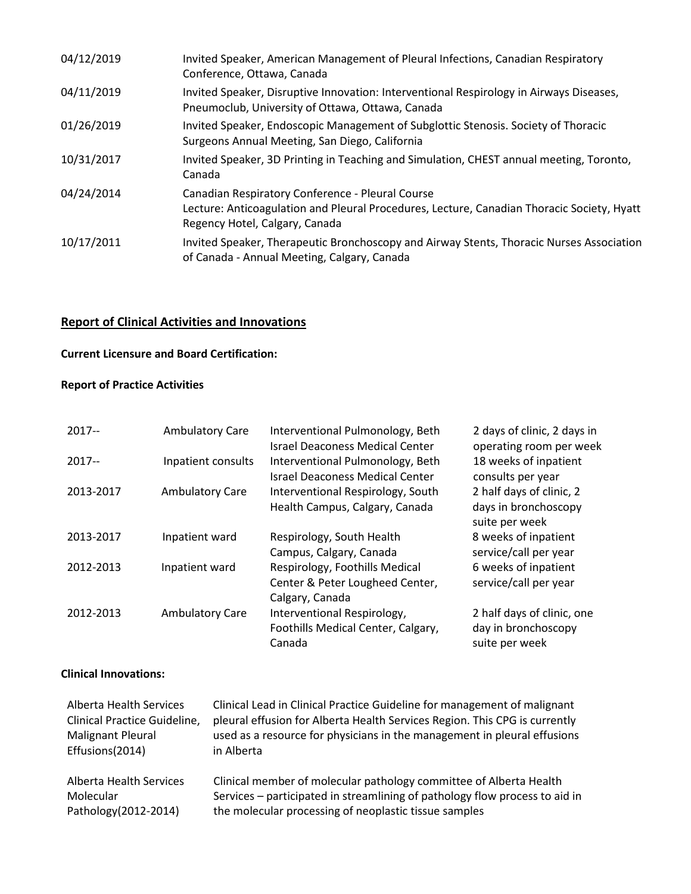| 04/12/2019 | Invited Speaker, American Management of Pleural Infections, Canadian Respiratory<br>Conference, Ottawa, Canada                                                                   |
|------------|----------------------------------------------------------------------------------------------------------------------------------------------------------------------------------|
| 04/11/2019 | Invited Speaker, Disruptive Innovation: Interventional Respirology in Airways Diseases,<br>Pneumoclub, University of Ottawa, Ottawa, Canada                                      |
| 01/26/2019 | Invited Speaker, Endoscopic Management of Subglottic Stenosis. Society of Thoracic<br>Surgeons Annual Meeting, San Diego, California                                             |
| 10/31/2017 | Invited Speaker, 3D Printing in Teaching and Simulation, CHEST annual meeting, Toronto,<br>Canada                                                                                |
| 04/24/2014 | Canadian Respiratory Conference - Pleural Course<br>Lecture: Anticoagulation and Pleural Procedures, Lecture, Canadian Thoracic Society, Hyatt<br>Regency Hotel, Calgary, Canada |
| 10/17/2011 | Invited Speaker, Therapeutic Bronchoscopy and Airway Stents, Thoracic Nurses Association<br>of Canada - Annual Meeting, Calgary, Canada                                          |

## **Report of Clinical Activities and Innovations**

## **Current Licensure and Board Certification:**

## **Report of Practice Activities**

| $2017 -$  | <b>Ambulatory Care</b> | Interventional Pulmonology, Beth<br><b>Israel Deaconess Medical Center</b>           | 2 days of clinic, 2 days in<br>operating room per week              |
|-----------|------------------------|--------------------------------------------------------------------------------------|---------------------------------------------------------------------|
| $2017 -$  | Inpatient consults     | Interventional Pulmonology, Beth<br><b>Israel Deaconess Medical Center</b>           | 18 weeks of inpatient<br>consults per year                          |
| 2013-2017 | <b>Ambulatory Care</b> | Interventional Respirology, South<br>Health Campus, Calgary, Canada                  | 2 half days of clinic, 2<br>days in bronchoscopy<br>suite per week  |
| 2013-2017 | Inpatient ward         | Respirology, South Health<br>Campus, Calgary, Canada                                 | 8 weeks of inpatient<br>service/call per year                       |
| 2012-2013 | Inpatient ward         | Respirology, Foothills Medical<br>Center & Peter Lougheed Center,<br>Calgary, Canada | 6 weeks of inpatient<br>service/call per year                       |
| 2012-2013 | <b>Ambulatory Care</b> | Interventional Respirology,<br>Foothills Medical Center, Calgary,<br>Canada          | 2 half days of clinic, one<br>day in bronchoscopy<br>suite per week |

## **Clinical Innovations:**

| Alberta Health Services      | Clinical Lead in Clinical Practice Guideline for management of malignant    |
|------------------------------|-----------------------------------------------------------------------------|
| Clinical Practice Guideline, | pleural effusion for Alberta Health Services Region. This CPG is currently  |
| Malignant Pleural            | used as a resource for physicians in the management in pleural effusions    |
| Effusions(2014)              | in Alberta                                                                  |
|                              |                                                                             |
| Alberta Health Services      | Clinical member of molecular pathology committee of Alberta Health          |
| Molecular                    | Services – participated in streamlining of pathology flow process to aid in |
| Pathology(2012-2014)         |                                                                             |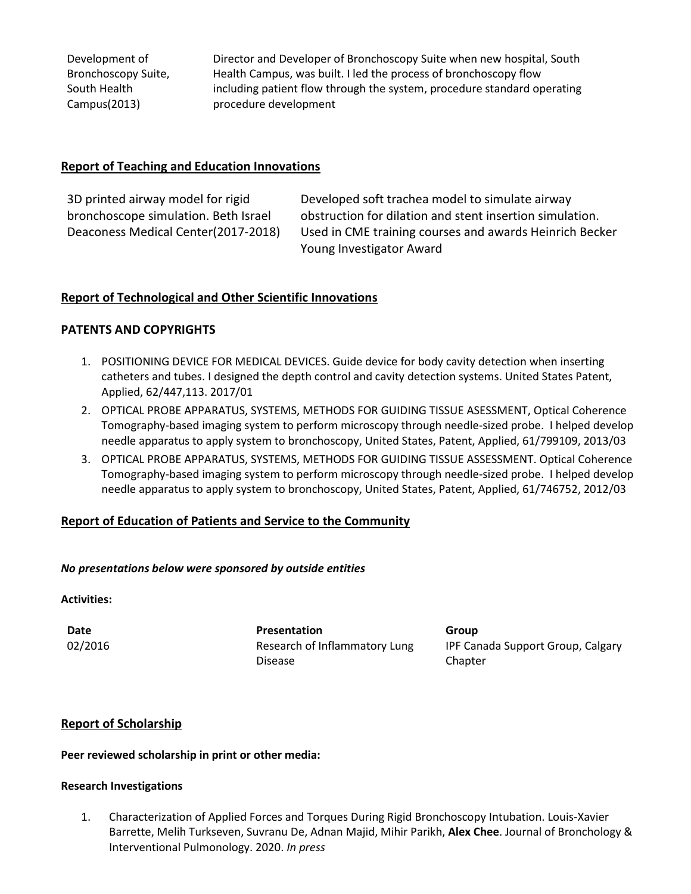Development of Bronchoscopy Suite, South Health Campus(2013)

Director and Developer of Bronchoscopy Suite when new hospital, South Health Campus, was built. I led the process of bronchoscopy flow including patient flow through the system, procedure standard operating procedure development

### **Report of Teaching and Education Innovations**

3D printed airway model for rigid bronchoscope simulation. Beth Israel Deaconess Medical Center(2017-2018)

Developed soft trachea model to simulate airway obstruction for dilation and stent insertion simulation. Used in CME training courses and awards Heinrich Becker Young Investigator Award

## **Report of Technological and Other Scientific Innovations**

### **PATENTS AND COPYRIGHTS**

- 1. POSITIONING DEVICE FOR MEDICAL DEVICES. Guide device for body cavity detection when inserting catheters and tubes. I designed the depth control and cavity detection systems. United States Patent, Applied, 62/447,113. 2017/01
- 2. OPTICAL PROBE APPARATUS, SYSTEMS, METHODS FOR GUIDING TISSUE ASESSMENT, Optical Coherence Tomography-based imaging system to perform microscopy through needle-sized probe. I helped develop needle apparatus to apply system to bronchoscopy, United States, Patent, Applied, 61/799109, 2013/03
- 3. OPTICAL PROBE APPARATUS, SYSTEMS, METHODS FOR GUIDING TISSUE ASSESSMENT. Optical Coherence Tomography-based imaging system to perform microscopy through needle-sized probe. I helped develop needle apparatus to apply system to bronchoscopy, United States, Patent, Applied, 61/746752, 2012/03

## **Report of Education of Patients and Service to the Community**

### *No presentations below were sponsored by outside entities*

### **Activities:**

**Date Presentation Group** 02/2016 Research of Inflammatory Lung Disease

IPF Canada Support Group, Calgary Chapter

## **Report of Scholarship**

### **Peer reviewed scholarship in print or other media:**

#### **Research Investigations**

1. Characterization of Applied Forces and Torques During Rigid Bronchoscopy Intubation. Louis-Xavier Barrette, Melih Turkseven, Suvranu De, Adnan Majid, Mihir Parikh, **Alex Chee**. Journal of Bronchology & Interventional Pulmonology. 2020. *In press*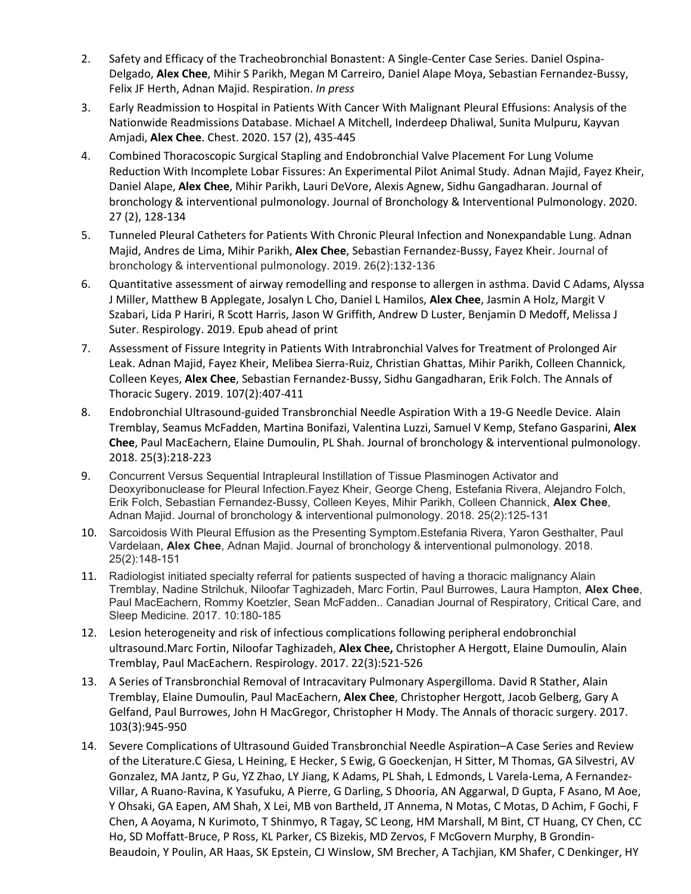- 2. Safety and Efficacy of the Tracheobronchial Bonastent: A Single-Center Case Series. Daniel Ospina-Delgado, **Alex Chee**, Mihir S Parikh, Megan M Carreiro, Daniel Alape Moya, Sebastian Fernandez-Bussy, Felix JF Herth, Adnan Majid. Respiration. *In press*
- 3. Early Readmission to Hospital in Patients With Cancer With Malignant Pleural Effusions: Analysis of the Nationwide Readmissions Database. Michael A Mitchell, Inderdeep Dhaliwal, Sunita Mulpuru, Kayvan Amjadi, **Alex Chee**. Chest. 2020. 157 (2), 435-445
- 4. Combined Thoracoscopic Surgical Stapling and Endobronchial Valve Placement For Lung Volume Reduction With Incomplete Lobar Fissures: An Experimental Pilot Animal Study. Adnan Majid, Fayez Kheir, Daniel Alape, **Alex Chee**, Mihir Parikh, Lauri DeVore, Alexis Agnew, Sidhu Gangadharan. Journal of bronchology & interventional pulmonology. Journal of Bronchology & Interventional Pulmonology. 2020. 27 (2), 128-134
- 5. Tunneled Pleural Catheters for Patients With Chronic Pleural Infection and Nonexpandable Lung. Adnan Majid, Andres de Lima, Mihir Parikh, **Alex Chee**, Sebastian Fernandez-Bussy, Fayez Kheir. Journal of bronchology & interventional pulmonology. 2019. 26(2):132-136
- 6. Quantitative assessment of airway remodelling and response to allergen in asthma. David C Adams, Alyssa J Miller, Matthew B Applegate, Josalyn L Cho, Daniel L Hamilos, **Alex Chee**, Jasmin A Holz, Margit V Szabari, Lida P Hariri, R Scott Harris, Jason W Griffith, Andrew D Luster, Benjamin D Medoff, Melissa J Suter. Respirology. 2019. Epub ahead of print
- 7. Assessment of Fissure Integrity in Patients With Intrabronchial Valves for Treatment of Prolonged Air Leak. Adnan Majid, Fayez Kheir, Melibea Sierra-Ruiz, Christian Ghattas, Mihir Parikh, Colleen Channick, Colleen Keyes, **Alex Chee**, Sebastian Fernandez-Bussy, Sidhu Gangadharan, Erik Folch. The Annals of Thoracic Sugery. 2019. 107(2):407-411
- 8. Endobronchial Ultrasound-guided Transbronchial Needle Aspiration With a 19-G Needle Device. Alain Tremblay, Seamus McFadden, Martina Bonifazi, Valentina Luzzi, Samuel V Kemp, Stefano Gasparini, **Alex Chee**, Paul MacEachern, Elaine Dumoulin, PL Shah. Journal of bronchology & interventional pulmonology. 2018. 25(3):218-223
- 9. Concurrent Versus Sequential Intrapleural Instillation of Tissue Plasminogen Activator and Deoxyribonuclease for Pleural Infection.Fayez Kheir, George Cheng, Estefania Rivera, Alejandro Folch, Erik Folch, Sebastian Fernandez-Bussy, Colleen Keyes, Mihir Parikh, Colleen Channick, **Alex Chee**, Adnan Majid. Journal of bronchology & interventional pulmonology. 2018. 25(2):125-131
- 10. Sarcoidosis With Pleural Effusion as the Presenting Symptom.Estefania Rivera, Yaron Gesthalter, Paul Vardelaan, **Alex Chee**, Adnan Majid. Journal of bronchology & interventional pulmonology. 2018. 25(2):148-151
- 11. Radiologist initiated specialty referral for patients suspected of having a thoracic malignancy Alain Tremblay, Nadine Strilchuk, Niloofar Taghizadeh, Marc Fortin, Paul Burrowes, Laura Hampton, **Alex Chee**, Paul MacEachern, Rommy Koetzler, Sean McFadden.. Canadian Journal of Respiratory, Critical Care, and Sleep Medicine. 2017. 10:180-185
- 12. Lesion heterogeneity and risk of infectious complications following peripheral endobronchial ultrasound.Marc Fortin, Niloofar Taghizadeh, **Alex Chee,** Christopher A Hergott, Elaine Dumoulin, Alain Tremblay, Paul MacEachern. Respirology. 2017. 22(3):521-526
- 13. A Series of Transbronchial Removal of Intracavitary Pulmonary Aspergilloma. David R Stather, Alain Tremblay, Elaine Dumoulin, Paul MacEachern, **Alex Chee**, Christopher Hergott, Jacob Gelberg, Gary A Gelfand, Paul Burrowes, John H MacGregor, Christopher H Mody. The Annals of thoracic surgery. 2017. 103(3):945-950
- 14. Severe Complications of Ultrasound Guided Transbronchial Needle Aspiration–A Case Series and Review of the Literature.C Giesa, L Heining, E Hecker, S Ewig, G Goeckenjan, H Sitter, M Thomas, GA Silvestri, AV Gonzalez, MA Jantz, P Gu, YZ Zhao, LY Jiang, K Adams, PL Shah, L Edmonds, L Varela-Lema, A Fernandez-Villar, A Ruano-Ravina, K Yasufuku, A Pierre, G Darling, S Dhooria, AN Aggarwal, D Gupta, F Asano, M Aoe, Y Ohsaki, GA Eapen, AM Shah, X Lei, MB von Bartheld, JT Annema, N Motas, C Motas, D Achim, F Gochi, F Chen, A Aoyama, N Kurimoto, T Shinmyo, R Tagay, SC Leong, HM Marshall, M Bint, CT Huang, CY Chen, CC Ho, SD Moffatt-Bruce, P Ross, KL Parker, CS Bizekis, MD Zervos, F McGovern Murphy, B Grondin-Beaudoin, Y Poulin, AR Haas, SK Epstein, CJ Winslow, SM Brecher, A Tachjian, KM Shafer, C Denkinger, HY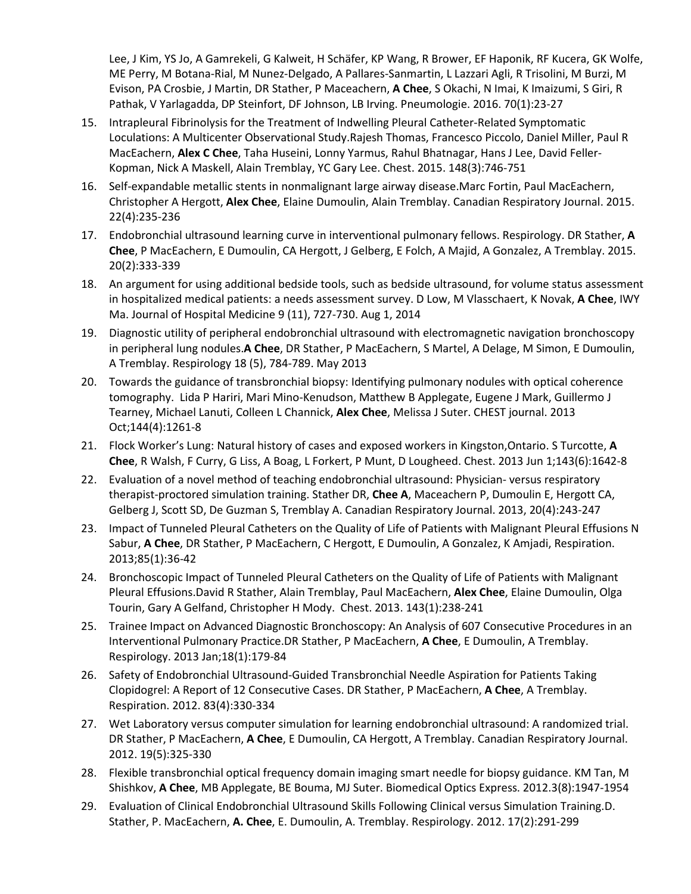Lee, J Kim, YS Jo, A Gamrekeli, G Kalweit, H Schäfer, KP Wang, R Brower, EF Haponik, RF Kucera, GK Wolfe, ME Perry, M Botana-Rial, M Nunez-Delgado, A Pallares-Sanmartin, L Lazzari Agli, R Trisolini, M Burzi, M Evison, PA Crosbie, J Martin, DR Stather, P Maceachern, **A Chee**, S Okachi, N Imai, K Imaizumi, S Giri, R Pathak, V Yarlagadda, DP Steinfort, DF Johnson, LB Irving. Pneumologie. 2016. 70(1):23-27

- 15. Intrapleural Fibrinolysis for the Treatment of Indwelling Pleural Catheter-Related Symptomatic Loculations: A Multicenter Observational Study.Rajesh Thomas, Francesco Piccolo, Daniel Miller, Paul R MacEachern, **Alex C Chee**, Taha Huseini, Lonny Yarmus, Rahul Bhatnagar, Hans J Lee, David Feller-Kopman, Nick A Maskell, Alain Tremblay, YC Gary Lee. Chest. 2015. 148(3):746-751
- 16. Self-expandable metallic stents in nonmalignant large airway disease.Marc Fortin, Paul MacEachern, Christopher A Hergott, **Alex Chee**, Elaine Dumoulin, Alain Tremblay. Canadian Respiratory Journal. 2015. 22(4):235-236
- 17. Endobronchial ultrasound learning curve in interventional pulmonary fellows. Respirology. DR Stather, **A Chee**, P MacEachern, E Dumoulin, CA Hergott, J Gelberg, E Folch, A Majid, A Gonzalez, A Tremblay. 2015. 20(2):333-339
- 18. An argument for using additional bedside tools, such as bedside ultrasound, for volume status assessment in hospitalized medical patients: a needs assessment survey. D Low, M Vlasschaert, K Novak, **A Chee**, IWY Ma. Journal of Hospital Medicine 9 (11), 727-730. Aug 1, 2014
- 19. Diagnostic utility of peripheral endobronchial ultrasound with electromagnetic navigation bronchoscopy in peripheral lung nodules.**A Chee**, DR Stather, P MacEachern, S Martel, A Delage, M Simon, E Dumoulin, A Tremblay. Respirology 18 (5), 784-789. May 2013
- 20. Towards the guidance of transbronchial biopsy: Identifying pulmonary nodules with optical coherence tomography. Lida P Hariri, Mari Mino-Kenudson, Matthew B Applegate, Eugene J Mark, Guillermo J Tearney, Michael Lanuti, Colleen L Channick, **Alex Chee**, Melissa J Suter. CHEST journal. 2013 Oct;144(4):1261-8
- 21. Flock Worker's Lung: Natural history of cases and exposed workers in Kingston,Ontario. S Turcotte, **A Chee**, R Walsh, F Curry, G Liss, A Boag, L Forkert, P Munt, D Lougheed. Chest. 2013 Jun 1;143(6):1642-8
- 22. Evaluation of a novel method of teaching endobronchial ultrasound: Physician- versus respiratory therapist-proctored simulation training. Stather DR, **Chee A**, Maceachern P, Dumoulin E, Hergott CA, Gelberg J, Scott SD, De Guzman S, Tremblay A. Canadian Respiratory Journal. 2013, 20(4):243-247
- 23. Impact of Tunneled Pleural Catheters on the Quality of Life of Patients with Malignant Pleural Effusions N Sabur, **A Chee**, DR Stather, P MacEachern, C Hergott, E Dumoulin, A Gonzalez, K Amjadi, Respiration. 2013;85(1):36-42
- 24. Bronchoscopic Impact of Tunneled Pleural Catheters on the Quality of Life of Patients with Malignant Pleural Effusions.David R Stather, Alain Tremblay, Paul MacEachern, **Alex Chee**, Elaine Dumoulin, Olga Tourin, Gary A Gelfand, Christopher H Mody. Chest. 2013. 143(1):238-241
- 25. Trainee Impact on Advanced Diagnostic Bronchoscopy: An Analysis of 607 Consecutive Procedures in an Interventional Pulmonary Practice.DR Stather, P MacEachern, **A Chee**, E Dumoulin, A Tremblay. Respirology. 2013 Jan;18(1):179-84
- 26. Safety of Endobronchial Ultrasound-Guided Transbronchial Needle Aspiration for Patients Taking Clopidogrel: A Report of 12 Consecutive Cases. DR Stather, P MacEachern, **A Chee**, A Tremblay. Respiration. 2012. 83(4):330-334
- 27. Wet Laboratory versus computer simulation for learning endobronchial ultrasound: A randomized trial. DR Stather, P MacEachern, **A Chee**, E Dumoulin, CA Hergott, A Tremblay. Canadian Respiratory Journal. 2012. 19(5):325-330
- 28. Flexible transbronchial optical frequency domain imaging smart needle for biopsy guidance. KM Tan, M Shishkov, **A Chee**, MB Applegate, BE Bouma, MJ Suter. Biomedical Optics Express. 2012.3(8):1947-1954
- 29. Evaluation of Clinical Endobronchial Ultrasound Skills Following Clinical versus Simulation Training.D. Stather, P. MacEachern, **A. Chee**, E. Dumoulin, A. Tremblay. Respirology. 2012. 17(2):291-299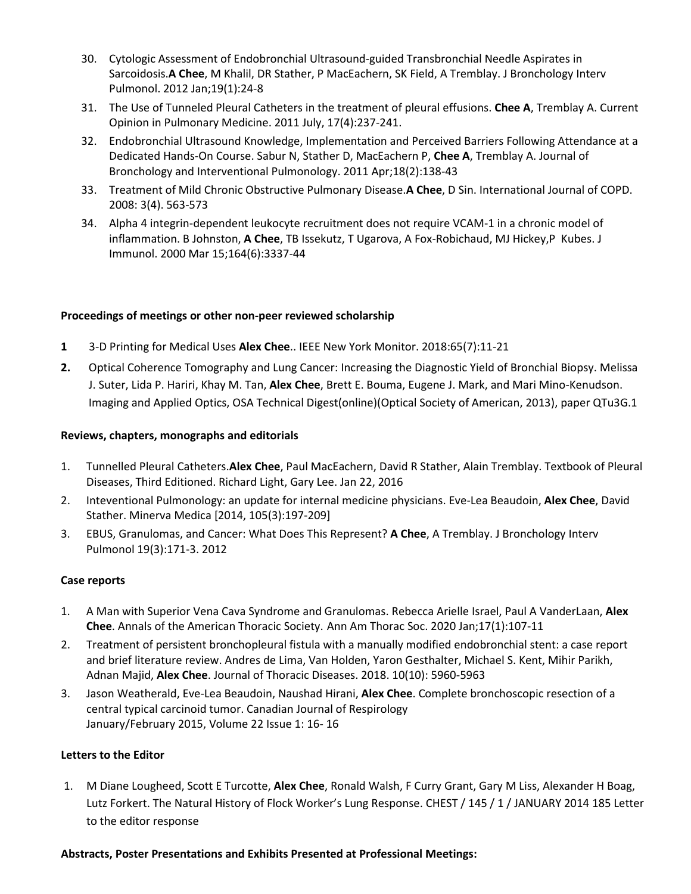- 30. Cytologic Assessment of Endobronchial Ultrasound-guided Transbronchial Needle Aspirates in Sarcoidosis.**A Chee**, M Khalil, DR Stather, P MacEachern, SK Field, A Tremblay. J Bronchology Interv Pulmonol. 2012 Jan;19(1):24-8
- 31. The Use of Tunneled Pleural Catheters in the treatment of pleural effusions. **Chee A**, Tremblay A. Current Opinion in Pulmonary Medicine. 2011 July, 17(4):237-241.
- 32. Endobronchial Ultrasound Knowledge, Implementation and Perceived Barriers Following Attendance at a Dedicated Hands-On Course. Sabur N, Stather D, MacEachern P, **Chee A**, Tremblay A. Journal of Bronchology and Interventional Pulmonology. 2011 Apr;18(2):138-43
- 33. Treatment of Mild Chronic Obstructive Pulmonary Disease.**A Chee**, D Sin. International Journal of COPD. 2008: 3(4). 563-573
- 34. Alpha 4 integrin-dependent leukocyte recruitment does not require VCAM-1 in a chronic model of inflammation. B Johnston, **A Chee**, TB Issekutz, T Ugarova, A Fox-Robichaud, MJ Hickey,P Kubes. J Immunol. 2000 Mar 15;164(6):3337-44

### **Proceedings of meetings or other non-peer reviewed scholarship**

- **1** 3-D Printing for Medical Uses **Alex Chee**.. IEEE New York Monitor. 2018:65(7):11-21
- **2.** Optical Coherence Tomography and Lung Cancer: Increasing the Diagnostic Yield of Bronchial Biopsy. Melissa J. Suter, Lida P. Hariri, Khay M. Tan, **Alex Chee**, Brett E. Bouma, Eugene J. Mark, and Mari Mino-Kenudson. Imaging and Applied Optics, OSA Technical Digest(online)(Optical Society of American, 2013), paper QTu3G.1

### **Reviews, chapters, monographs and editorials**

- 1. Tunnelled Pleural Catheters.**Alex Chee**, Paul MacEachern, David R Stather, Alain Tremblay. Textbook of Pleural Diseases, Third Editioned. Richard Light, Gary Lee. Jan 22, 2016
- 2. Inteventional Pulmonology: an update for internal medicine physicians. Eve-Lea Beaudoin, **Alex Chee**, David Stather. Minerva Medica [2014, 105(3):197-209]
- 3. EBUS, Granulomas, and Cancer: What Does This Represent? **A Chee**, A Tremblay. J Bronchology Interv Pulmonol 19(3):171-3. 2012

### **Case reports**

- 1. A Man with Superior Vena Cava Syndrome and Granulomas. Rebecca Arielle Israel, Paul A VanderLaan, **Alex Chee**. Annals of the American Thoracic Society. Ann Am Thorac Soc. 2020 Jan;17(1):107-11
- 2. Treatment of persistent bronchopleural fistula with a manually modified endobronchial stent: a case report and brief literature review. Andres de Lima, Van Holden, Yaron Gesthalter, Michael S. Kent, Mihir Parikh, Adnan Majid, **Alex Chee**. Journal of Thoracic Diseases. 2018. 10(10): 5960-5963
- 3. Jason Weatherald, Eve-Lea Beaudoin, Naushad Hirani, **Alex Chee**. Complete bronchoscopic resection of a central typical carcinoid tumor. Canadian Journal of Respirology January/February 2015, Volume 22 Issue 1: 16- 16

### **Letters to the Editor**

1. M Diane Lougheed, Scott E Turcotte, **Alex Chee**, Ronald Walsh, F Curry Grant, Gary M Liss, Alexander H Boag, Lutz Forkert. The Natural History of Flock Worker's Lung Response. CHEST / 145 / 1 / JANUARY 2014 185 Letter to the editor response

### **Abstracts, Poster Presentations and Exhibits Presented at Professional Meetings:**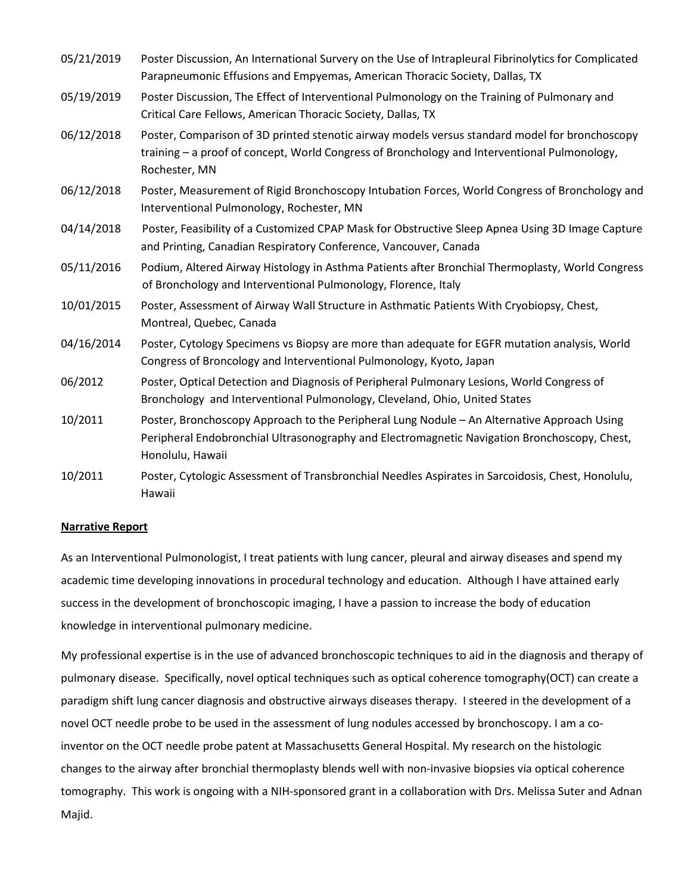| 05/21/2019 | Poster Discussion, An International Survery on the Use of Intrapleural Fibrinolytics for Complicated<br>Parapneumonic Effusions and Empyemas, American Thoracic Society, Dallas, TX                             |
|------------|-----------------------------------------------------------------------------------------------------------------------------------------------------------------------------------------------------------------|
| 05/19/2019 | Poster Discussion, The Effect of Interventional Pulmonology on the Training of Pulmonary and<br>Critical Care Fellows, American Thoracic Society, Dallas, TX                                                    |
| 06/12/2018 | Poster, Comparison of 3D printed stenotic airway models versus standard model for bronchoscopy<br>training - a proof of concept, World Congress of Bronchology and Interventional Pulmonology,<br>Rochester, MN |
| 06/12/2018 | Poster, Measurement of Rigid Bronchoscopy Intubation Forces, World Congress of Bronchology and<br>Interventional Pulmonology, Rochester, MN                                                                     |
| 04/14/2018 | Poster, Feasibility of a Customized CPAP Mask for Obstructive Sleep Apnea Using 3D Image Capture<br>and Printing, Canadian Respiratory Conference, Vancouver, Canada                                            |
| 05/11/2016 | Podium, Altered Airway Histology in Asthma Patients after Bronchial Thermoplasty, World Congress<br>of Bronchology and Interventional Pulmonology, Florence, Italy                                              |
| 10/01/2015 | Poster, Assessment of Airway Wall Structure in Asthmatic Patients With Cryobiopsy, Chest,<br>Montreal, Quebec, Canada                                                                                           |
| 04/16/2014 | Poster, Cytology Specimens vs Biopsy are more than adequate for EGFR mutation analysis, World<br>Congress of Broncology and Interventional Pulmonology, Kyoto, Japan                                            |
| 06/2012    | Poster, Optical Detection and Diagnosis of Peripheral Pulmonary Lesions, World Congress of<br>Bronchology and Interventional Pulmonology, Cleveland, Ohio, United States                                        |
| 10/2011    | Poster, Bronchoscopy Approach to the Peripheral Lung Nodule - An Alternative Approach Using<br>Peripheral Endobronchial Ultrasonography and Electromagnetic Navigation Bronchoscopy, Chest,<br>Honolulu, Hawaii |
| 10/2011    | Poster, Cytologic Assessment of Transbronchial Needles Aspirates in Sarcoidosis, Chest, Honolulu,<br>Hawaii                                                                                                     |

#### **Narrative Report**

As an Interventional Pulmonologist, I treat patients with lung cancer, pleural and airway diseases and spend my academic time developing innovations in procedural technology and education. Although I have attained early success in the development of bronchoscopic imaging, I have a passion to increase the body of education knowledge in interventional pulmonary medicine.

My professional expertise is in the use of advanced bronchoscopic techniques to aid in the diagnosis and therapy of pulmonary disease. Specifically, novel optical techniques such as optical coherence tomography(OCT) can create a paradigm shift lung cancer diagnosis and obstructive airways diseases therapy. I steered in the development of a novel OCT needle probe to be used in the assessment of lung nodules accessed by bronchoscopy. I am a coinventor on the OCT needle probe patent at Massachusetts General Hospital. My research on the histologic changes to the airway after bronchial thermoplasty blends well with non-invasive biopsies via optical coherence tomography. This work is ongoing with a NIH-sponsored grant in a collaboration with Drs. Melissa Suter and Adnan Majid.